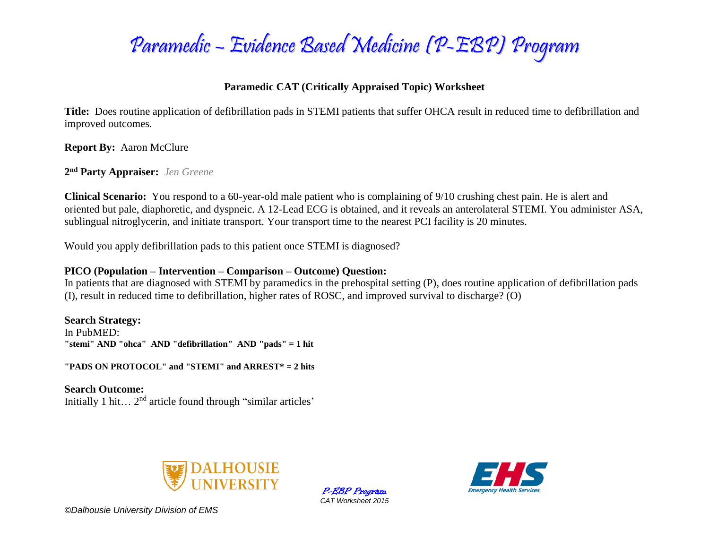

## **Paramedic CAT (Critically Appraised Topic) Worksheet**

**Title:** Does routine application of defibrillation pads in STEMI patients that suffer OHCA result in reduced time to defibrillation and improved outcomes.

**Report By:** Aaron McClure

**2 nd Party Appraiser:** *Jen Greene*

**Clinical Scenario:** You respond to a 60-year-old male patient who is complaining of 9/10 crushing chest pain. He is alert and oriented but pale, diaphoretic, and dyspneic. A 12-Lead ECG is obtained, and it reveals an anterolateral STEMI. You administer ASA, sublingual nitroglycerin, and initiate transport. Your transport time to the nearest PCI facility is 20 minutes.

Would you apply defibrillation pads to this patient once STEMI is diagnosed?

### **PICO (Population – Intervention – Comparison – Outcome) Question:**

In patients that are diagnosed with STEMI by paramedics in the prehospital setting (P), does routine application of defibrillation pads (I), result in reduced time to defibrillation, higher rates of ROSC, and improved survival to discharge? (O)

**Search Strategy:** In PubMED: **"stemi" AND "ohca" AND "defibrillation" AND "pads" = 1 hit**

**"PADS ON PROTOCOL" and "STEMI" and ARREST\* = 2 hits** 

**Search Outcome:** Initially 1 hit... 2<sup>nd</sup> article found through "similar articles"



P-EBP Program *CAT Worksheet 2015*

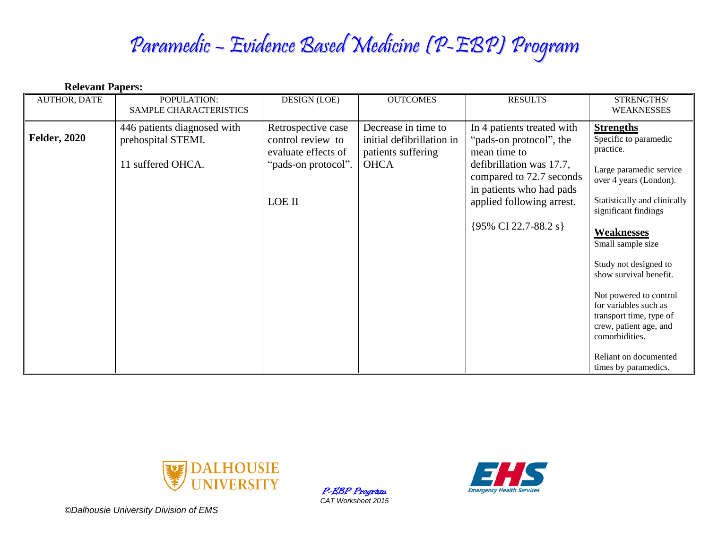# Paramedic – Evidence Based Medicine (P-EBP) Program

| <b>Relevant Papers:</b> |                                                                        |                                                                                                 |                                                                                       |                                                                                                                                                                                                                |                                                                                                                                                                                                                                                                                                                                                                                            |  |  |  |
|-------------------------|------------------------------------------------------------------------|-------------------------------------------------------------------------------------------------|---------------------------------------------------------------------------------------|----------------------------------------------------------------------------------------------------------------------------------------------------------------------------------------------------------------|--------------------------------------------------------------------------------------------------------------------------------------------------------------------------------------------------------------------------------------------------------------------------------------------------------------------------------------------------------------------------------------------|--|--|--|
| <b>AUTHOR, DATE</b>     | POPULATION:<br>SAMPLE CHARACTERISTICS                                  | <b>DESIGN (LOE)</b>                                                                             | <b>OUTCOMES</b>                                                                       | <b>RESULTS</b>                                                                                                                                                                                                 | STRENGTHS/<br><b>WEAKNESSES</b>                                                                                                                                                                                                                                                                                                                                                            |  |  |  |
| <b>Felder, 2020</b>     | 446 patients diagnosed with<br>prehospital STEMI.<br>11 suffered OHCA. | Retrospective case<br>control review to<br>evaluate effects of<br>"pads-on protocol".<br>LOE II | Decrease in time to<br>initial defibrillation in<br>patients suffering<br><b>OHCA</b> | In 4 patients treated with<br>"pads-on protocol", the<br>mean time to<br>defibrillation was 17.7,<br>compared to 72.7 seconds<br>in patients who had pads<br>applied following arrest.<br>{95% CI 22.7-88.2 s} | <b>Strengths</b><br>Specific to paramedic<br>practice.<br>Large paramedic service<br>over 4 years (London).<br>Statistically and clinically<br>significant findings<br><b>Weaknesses</b><br>Small sample size<br>Study not designed to<br>show survival benefit.<br>Not powered to control<br>for variables such as<br>transport time, type of<br>crew, patient age, and<br>comorbidities. |  |  |  |
|                         |                                                                        |                                                                                                 |                                                                                       |                                                                                                                                                                                                                | Reliant on documented<br>times by paramedics.                                                                                                                                                                                                                                                                                                                                              |  |  |  |



P-EBP Program *CAT Worksheet 2015*

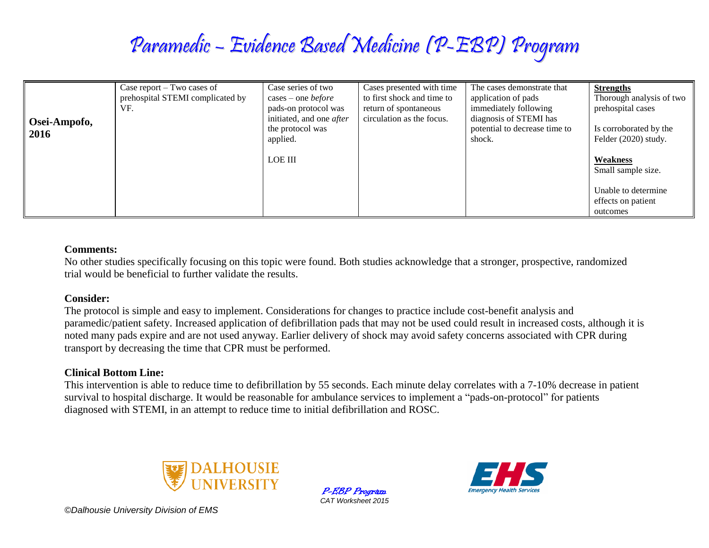# Paramedic – Evidence Based Medicine (P-EBP) Program

| Osei-Ampofo,<br>2016 | Case report $-$ Two cases of<br>prehospital STEMI complicated by<br>VF. | Case series of two<br>$cases - one before$<br>pads-on protocol was<br>initiated, and one <i>after</i><br>the protocol was<br>applied. | Cases presented with time<br>to first shock and time to<br>return of spontaneous<br>circulation as the focus. | The cases demonstrate that<br>application of pads<br>immediately following<br>diagnosis of STEMI has<br>potential to decrease time to<br>shock. | <b>Strengths</b><br>Thorough analysis of two<br>prehospital cases<br>Is corroborated by the<br>Felder (2020) study. |
|----------------------|-------------------------------------------------------------------------|---------------------------------------------------------------------------------------------------------------------------------------|---------------------------------------------------------------------------------------------------------------|-------------------------------------------------------------------------------------------------------------------------------------------------|---------------------------------------------------------------------------------------------------------------------|
|                      |                                                                         | <b>LOE III</b>                                                                                                                        |                                                                                                               |                                                                                                                                                 | Weakness<br>Small sample size.                                                                                      |
|                      |                                                                         |                                                                                                                                       |                                                                                                               |                                                                                                                                                 | Unable to determine<br>effects on patient<br>outcomes                                                               |

#### **Comments:**

No other studies specifically focusing on this topic were found. Both studies acknowledge that a stronger, prospective, randomized trial would be beneficial to further validate the results.

#### **Consider:**

The protocol is simple and easy to implement. Considerations for changes to practice include cost-benefit analysis and paramedic/patient safety. Increased application of defibrillation pads that may not be used could result in increased costs, although it is noted many pads expire and are not used anyway. Earlier delivery of shock may avoid safety concerns associated with CPR during transport by decreasing the time that CPR must be performed.

### **Clinical Bottom Line:**

This intervention is able to reduce time to defibrillation by 55 seconds. Each minute delay correlates with a 7-10% decrease in patient survival to hospital discharge. It would be reasonable for ambulance services to implement a "pads-on-protocol" for patients diagnosed with STEMI, in an attempt to reduce time to initial defibrillation and ROSC.



P-EBP Program *CAT Worksheet 2015*